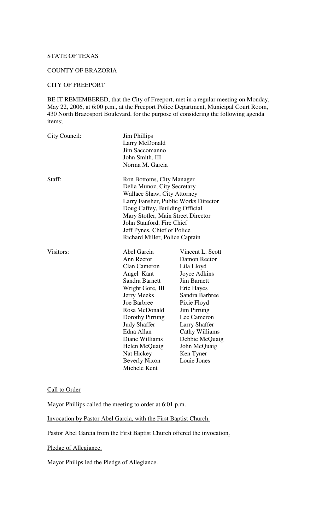# STATE OF TEXAS

#### COUNTY OF BRAZORIA

#### CITY OF FREEPORT

BE IT REMEMBERED, that the City of Freeport, met in a regular meeting on Monday, May 22, 2006, at 6:00 p.m., at the Freeport Police Department, Municipal Court Room, 430 North Brazosport Boulevard, for the purpose of considering the following agenda items;

| City Council: | <b>Jim Phillips</b><br>Larry McDonald<br>Jim Saccomanno<br>John Smith, III<br>Norma M. Garcia                                                                                                                                                                                                         |                                                                                                                                                                                                                                                                           |
|---------------|-------------------------------------------------------------------------------------------------------------------------------------------------------------------------------------------------------------------------------------------------------------------------------------------------------|---------------------------------------------------------------------------------------------------------------------------------------------------------------------------------------------------------------------------------------------------------------------------|
| Staff:        | Ron Bottoms, City Manager<br>Delia Munoz, City Secretary<br>Wallace Shaw, City Attorney<br>Larry Fansher, Public Works Director<br>Doug Caffey, Building Official<br>Mary Stotler, Main Street Director<br>John Stanford, Fire Chief<br>Jeff Pynes, Chief of Police<br>Richard Miller, Police Captain |                                                                                                                                                                                                                                                                           |
| Visitors:     | Abel Garcia<br>Ann Rector<br>Clan Cameron<br>Angel Kant<br>Sandra Barnett<br>Wright Gore, III<br>Jerry Meeks<br>Joe Barbree<br>Rosa McDonald<br>Dorothy Pirrung<br><b>Judy Shaffer</b><br>Edna Allan<br>Diane Williams<br>Helen McQuaig<br>Nat Hickey<br><b>Beverly Nixon</b><br>Michele Kent         | Vincent L. Scott<br>Damon Rector<br>Lila Lloyd<br>Joyce Adkins<br><b>Jim Barnett</b><br>Eric Hayes<br>Sandra Barbree<br>Pixie Floyd<br>Jim Pirrung<br>Lee Cameron<br><b>Larry Shaffer</b><br>Cathy Williams<br>Debbie McQuaig<br>John McQuaig<br>Ken Tyner<br>Louie Jones |

#### Call to Order

Mayor Phillips called the meeting to order at 6:01 p.m.

Invocation by Pastor Abel Garcia, with the First Baptist Church.

Pastor Abel Garcia from the First Baptist Church offered the invocation.

Pledge of Allegiance.

Mayor Philips led the Pledge of Allegiance.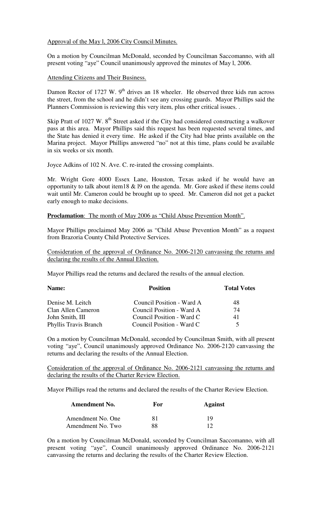Approval of the May l, 2006 City Council Minutes.

On a motion by Councilman McDonald, seconded by Councilman Saccomanno, with all present voting "aye" Council unanimously approved the minutes of May l, 2006.

Attending Citizens and Their Business.

Damon Rector of 1727 W.  $9<sup>th</sup>$  drives an 18 wheeler. He observed three kids run across the street, from the school and he didn't see any crossing guards. Mayor Phillips said the Planners Commission is reviewing this very item, plus other critical issues. .

Skip Pratt of 1027 W. 8<sup>th</sup> Street asked if the City had considered constructing a walkover pass at this area. Mayor Phillips said this request has been requested several times, and the State has denied it every time. He asked if the City had blue prints available on the Marina project. Mayor Phillips answered "no" not at this time, plans could be available in six weeks or six month.

Joyce Adkins of 102 N. Ave. C. re-irated the crossing complaints.

Mr. Wright Gore 4000 Essex Lane, Houston, Texas asked if he would have an opportunity to talk about item18  $& 19$  on the agenda. Mr. Gore asked if these items could wait until Mr. Cameron could be brought up to speed. Mr. Cameron did not get a packet early enough to make decisions.

**Proclamation:** The month of May 2006 as "Child Abuse Prevention Month".

Mayor Phillips proclaimed May 2006 as "Child Abuse Prevention Month" as a request from Brazoria County Child Protective Services.

Consideration of the approval of Ordinance No. 2006-2120 canvassing the returns and declaring the results of the Annual Election.

Mayor Phillips read the returns and declared the results of the annual election.

| Name:                 | <b>Position</b>           | <b>Total Votes</b> |
|-----------------------|---------------------------|--------------------|
| Denise M. Leitch      | Council Position - Ward A | 48                 |
| Clan Allen Cameron    | Council Position - Ward A | 74                 |
| John Smith, III       | Council Position - Ward C | 41                 |
| Phyllis Travis Branch | Council Position - Ward C | 5                  |

On a motion by Councilman McDonald, seconded by Councilman Smith, with all present voting "aye", Council unanimously approved Ordinance No. 2006-2120 canvassing the returns and declaring the results of the Annual Election.

Consideration of the approval of Ordinance No. 2006-2121 canvassing the returns and declaring the results of the Charter Review Election.

Mayor Phillips read the returns and declared the results of the Charter Review Election.

| <b>Amendment No.</b> | For | <b>Against</b> |
|----------------------|-----|----------------|
| Amendment No. One    | 81  | 19             |
| Amendment No. Two    | 88  |                |

On a motion by Councilman McDonald, seconded by Councilman Saccomanno, with all present voting "aye", Council unanimously approved Ordinance No. 2006-2121 canvassing the returns and declaring the results of the Charter Review Election.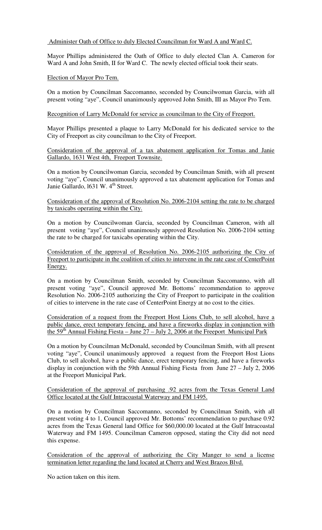## Administer Oath of Office to duly Elected Councilman for Ward A and Ward C.

Mayor Phillips administered the Oath of Office to duly elected Clan A. Cameron for Ward A and John Smith, II for Ward C. The newly elected official took their seats.

### Election of Mayor Pro Tem.

On a motion by Councilman Saccomanno, seconded by Councilwoman Garcia, with all present voting "aye", Council unanimously approved John Smith, III as Mayor Pro Tem.

#### Recognition of Larry McDonald for service as councilman to the City of Freeport.

Mayor Phillips presented a plaque to Larry McDonald for his dedicated service to the City of Freeport as city councilman to the City of Freeport.

Consideration of the approval of a tax abatement application for Tomas and Janie Gallardo, 1631 West 4th, Freeport Townsite.

On a motion by Councilwoman Garcia, seconded by Councilman Smith, with all present voting "aye", Council unanimously approved a tax abatement application for Tomas and Janie Gallardo, 1631 W. 4<sup>th</sup> Street.

Consideration of the approval of Resolution No. 2006-2104 setting the rate to be charged by taxicabs operating within the City.

On a motion by Councilwoman Garcia, seconded by Councilman Cameron, with all present voting "aye", Council unanimously approved Resolution No. 2006-2104 setting the rate to be charged for taxicabs operating within the City.

Consideration of the approval of Resolution No. 2006-2105 authorizing the City of Freeport to participate in the coalition of cities to intervene in the rate case of CenterPoint Energy.

On a motion by Councilman Smith, seconded by Councilman Saccomanno, with all present voting "aye", Council approved Mr. Bottoms' recommendation to approve Resolution No. 2006-2105 authorizing the City of Freeport to participate in the coalition of cities to intervene in the rate case of CenterPoint Energy at no cost to the cities.

Consideration of a request from the Freeport Host Lions Club, to sell alcohol, have a public dance, erect temporary fencing, and have a fireworks display in conjunction with the  $59<sup>th</sup>$  Annual Fishing Fiesta – June  $27$  – July 2, 2006 at the Freeport Municipal Park

On a motion by Councilman McDonald, seconded by Councilman Smith, with all present voting "aye", Council unanimously approved a request from the Freeport Host Lions Club, to sell alcohol, have a public dance, erect temporary fencing, and have a fireworks display in conjunction with the 59th Annual Fishing Fiesta from June 27 – July 2, 2006 at the Freeport Municipal Park.

Consideration of the approval of purchasing .92 acres from the Texas General Land Office located at the Gulf Intracoastal Waterway and FM 1495.

On a motion by Councilman Saccomanno, seconded by Councilman Smith, with all present voting 4 to 1, Council approved Mr. Bottoms' recommendation to purchase 0.92 acres from the Texas General land Office for \$60,000.00 located at the Gulf Intracoastal Waterway and FM 1495. Councilman Cameron opposed, stating the City did not need this expense.

Consideration of the approval of authorizing the City Manger to send a license termination letter regarding the land located at Cherry and West Brazos Blvd.

No action taken on this item.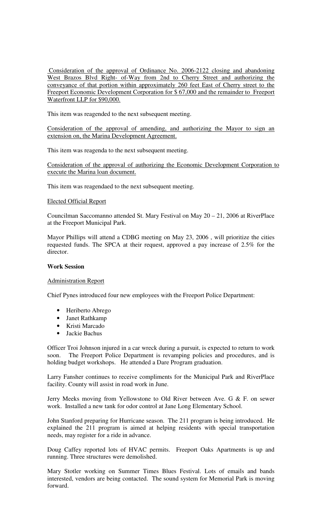Consideration of the approval of Ordinance No. 2006-2122 closing and abandoning West Brazos Blvd Right- of-Way from 2nd to Cherry Street and authorizing the conveyance of that portion within approximately 260 feet East of Cherry street to the Freeport Economic Development Corporation for \$ 67,000 and the remainder to Freeport Waterfront LLP for \$90,000.

This item was reagended to the next subsequent meeting.

Consideration of the approval of amending, and authorizing the Mayor to sign an extension on, the Marina Development Agreement.

This item was reagenda to the next subsequent meeting.

Consideration of the approval of authorizing the Economic Development Corporation to execute the Marina loan document.

This item was reagendaed to the next subsequent meeting.

### Elected Official Report

Councilman Saccomanno attended St. Mary Festival on May 20 – 21, 2006 at RiverPlace at the Freeport Municipal Park.

Mayor Phillips will attend a CDBG meeting on May 23, 2006 , will prioritize the cities requested funds. The SPCA at their request, approved a pay increase of 2.5% for the director.

### **Work Session**

## Administration Report

Chief Pynes introduced four new employees with the Freeport Police Department:

- Heriberto Abrego
- Janet Rathkamp
- Kristi Marcado
- Jackie Bachus

Officer Troi Johnson injured in a car wreck during a pursuit, is expected to return to work soon. The Freeport Police Department is revamping policies and procedures, and is holding budget workshops. He attended a Dare Program graduation.

Larry Fansher continues to receive compliments for the Municipal Park and RiverPlace facility. County will assist in road work in June.

Jerry Meeks moving from Yellowstone to Old River between Ave. G & F. on sewer work. Installed a new tank for odor control at Jane Long Elementary School.

John Stanford preparing for Hurricane season. The 211 program is being introduced. He explained the 211 program is aimed at helping residents with special transportation needs, may register for a ride in advance.

Doug Caffey reported lots of HVAC permits. Freeport Oaks Apartments is up and running. Three structures were demolished.

Mary Stotler working on Summer Times Blues Festival. Lots of emails and bands interested, vendors are being contacted. The sound system for Memorial Park is moving forward.